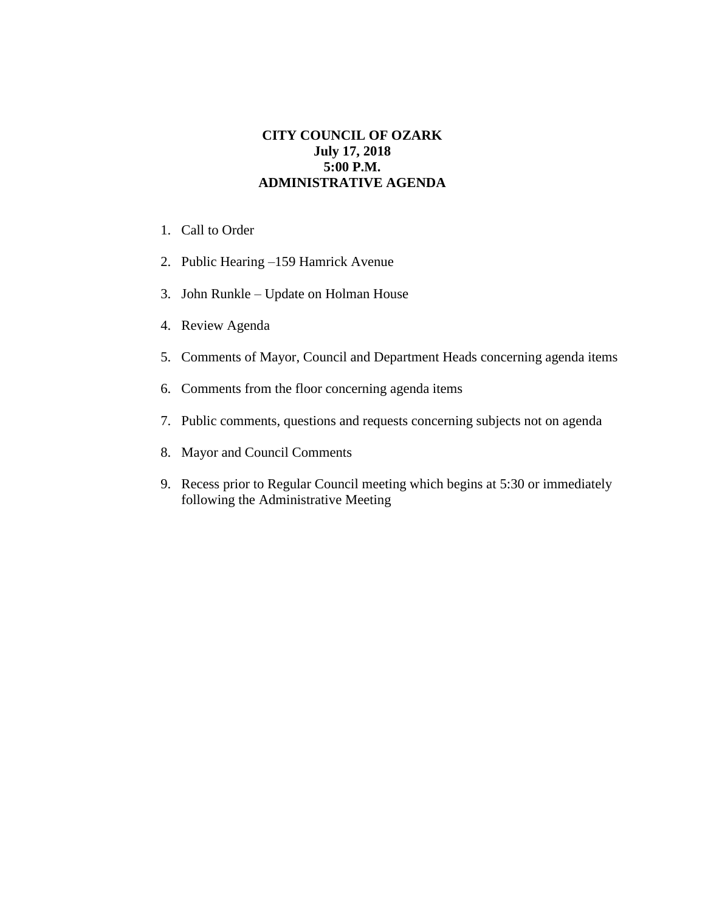## **CITY COUNCIL OF OZARK July 17, 2018 5:00 P.M. ADMINISTRATIVE AGENDA**

- 1. Call to Order
- 2. Public Hearing –159 Hamrick Avenue
- 3. John Runkle Update on Holman House
- 4. Review Agenda
- 5. Comments of Mayor, Council and Department Heads concerning agenda items
- 6. Comments from the floor concerning agenda items
- 7. Public comments, questions and requests concerning subjects not on agenda
- 8. Mayor and Council Comments
- 9. Recess prior to Regular Council meeting which begins at 5:30 or immediately following the Administrative Meeting